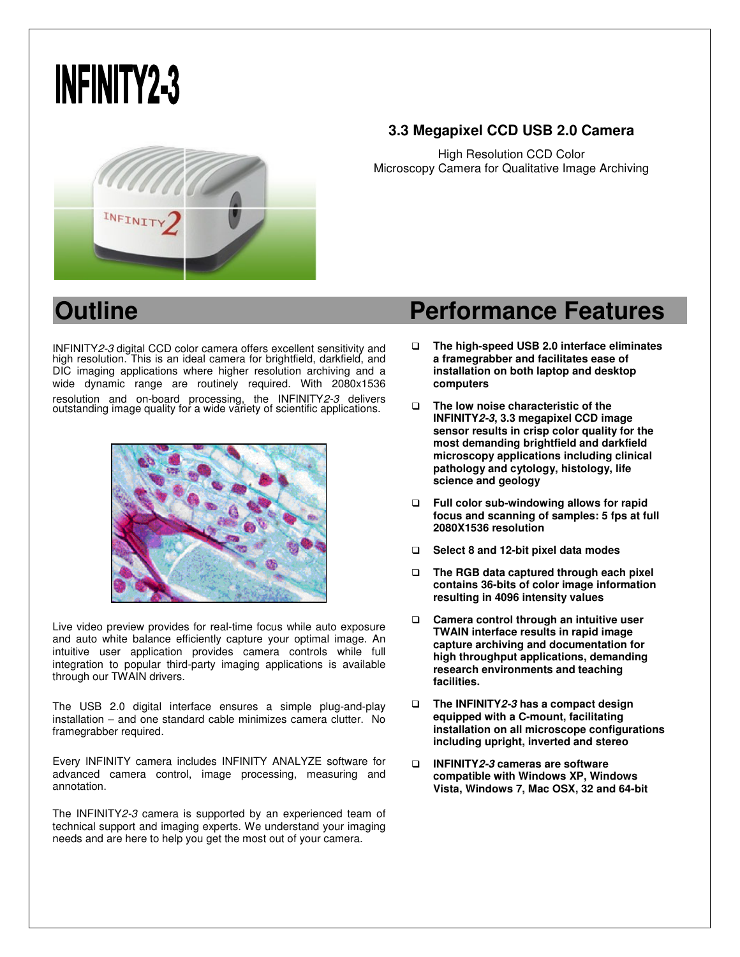# **INFINITY2-3**



### **3.3 Megapixel CCD USB 2.0 Camera**

High Resolution CCD Color Microscopy Camera for Qualitative Image Archiving

INFINITY2-3 digital CCD color camera offers excellent sensitivity and high resolution. This is an ideal camera for brightfield, darkfield, and DIC imaging applications where higher resolution archiving and a wide dynamic range are routinely required. With 2080x1536 resolution and on-board processing, the INFINITY2-3 delivers outstanding image quality for a wide variety of scientific applications.



Live video preview provides for real-time focus while auto exposure and auto white balance efficiently capture your optimal image. An intuitive user application provides camera controls while full integration to popular third-party imaging applications is available through our TWAIN drivers.

The USB 2.0 digital interface ensures a simple plug-and-play installation – and one standard cable minimizes camera clutter. No framegrabber required.

Every INFINITY camera includes INFINITY ANALYZE software for advanced camera control, image processing, measuring and annotation.

The INFINITY2-3 camera is supported by an experienced team of technical support and imaging experts. We understand your imaging needs and are here to help you get the most out of your camera.

# **Outline Contract Contract Performance Features**

- **The high-speed USB 2.0 interface eliminates a framegrabber and facilitates ease of installation on both laptop and desktop computers**
- **The low noise characteristic of the INFINITY2-3, 3.3 megapixel CCD image sensor results in crisp color quality for the most demanding brightfield and darkfield microscopy applications including clinical pathology and cytology, histology, life science and geology**
- **Full color sub-windowing allows for rapid focus and scanning of samples: 5 fps at full 2080X1536 resolution**
- **Select 8 and 12-bit pixel data modes**
- **The RGB data captured through each pixel contains 36-bits of color image information resulting in 4096 intensity values**
- **Camera control through an intuitive user TWAIN interface results in rapid image capture archiving and documentation for high throughput applications, demanding research environments and teaching facilities.**
- **The INFINITY2-3 has a compact design equipped with a C-mount, facilitating installation on all microscope configurations including upright, inverted and stereo**
- **INFINITY2-3 cameras are software compatible with Windows XP, Windows Vista, Windows 7, Mac OSX, 32 and 64-bit**